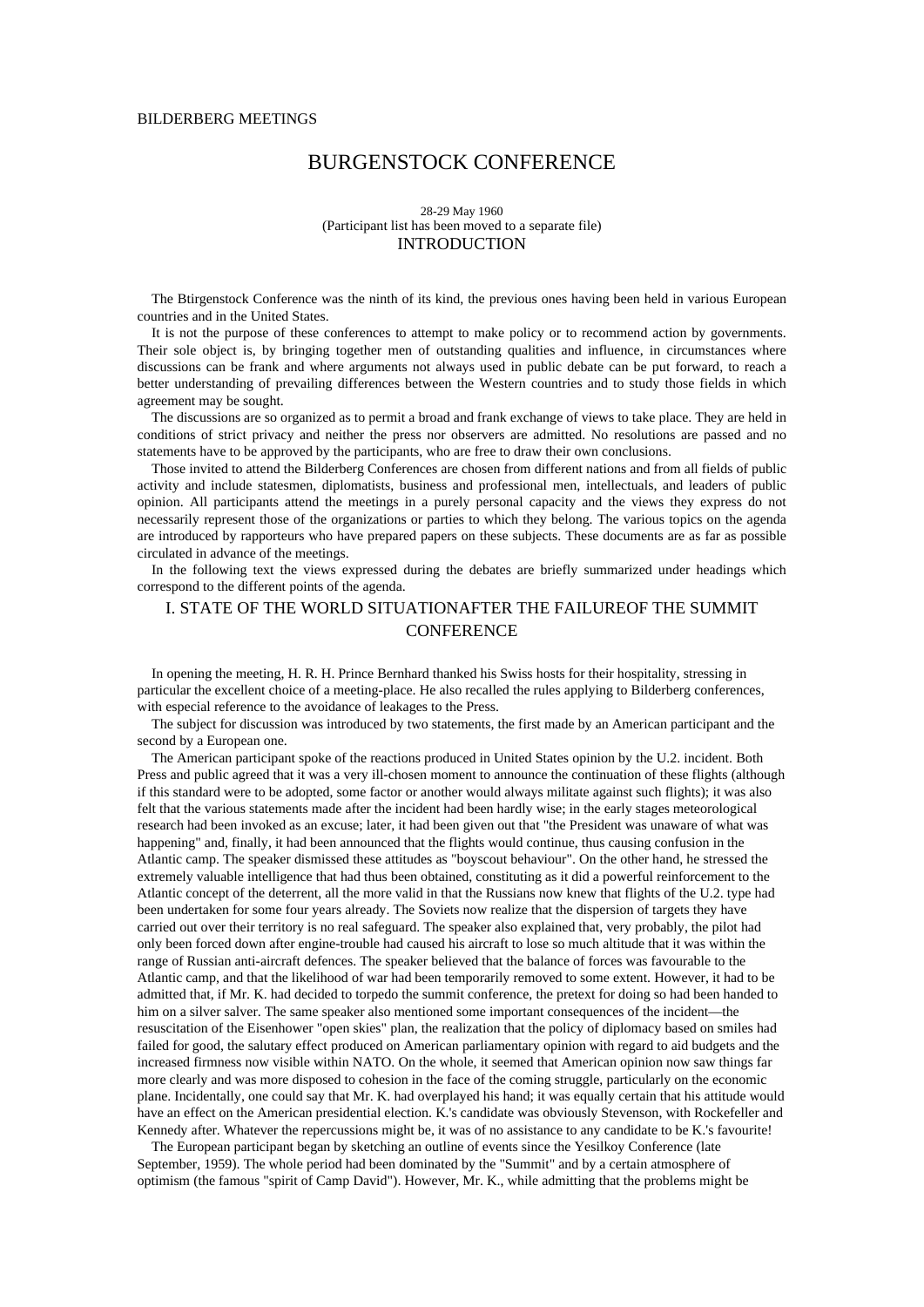# BURGENSTOCK CONFERENCE

### 28-29 May 1960 (Participant list has been moved to a separate file) INTRODUCTION

The Btirgenstock Conference was the ninth of its kind, the previous ones having been held in various European countries and in the United States.

It is not the purpose of these conferences to attempt to make policy or to recommend action by governments. Their sole object is, by bringing together men of outstanding qualities and influence, in circumstances where discussions can be frank and where arguments not always used in public debate can be put forward, to reach a better understanding of prevailing differences between the Western countries and to study those fields in which agreement may be sought.

The discussions are so organized as to permit a broad and frank exchange of views to take place. They are held in conditions of strict privacy and neither the press nor observers are admitted. No resolutions are passed and no statements have to be approved by the participants, who are free to draw their own conclusions.

Those invited to attend the Bilderberg Conferences are chosen from different nations and from all fields of public activity and include statesmen, diplomatists, business and professional men, intellectuals, and leaders of public opinion. All participants attend the meetings in a purely personal capacity and the views they express do not necessarily represent those of the organizations or parties to which they belong. The various topics on the agenda are introduced by rapporteurs who have prepared papers on these subjects. These documents are as far as possible circulated in advance of the meetings.

In the following text the views expressed during the debates are briefly summarized under headings which correspond to the different points of the agenda.

# I. STATE OF THE WORLD SITUATIONAFTER THE FAILUREOF THE SUMMIT **CONFERENCE**

In opening the meeting, H. R. H. Prince Bernhard thanked his Swiss hosts for their hospitality, stressing in particular the excellent choice of a meeting-place. He also recalled the rules applying to Bilderberg conferences, with especial reference to the avoidance of leakages to the Press.

The subject for discussion was introduced by two statements, the first made by an American participant and the second by a European one.

The American participant spoke of the reactions produced in United States opinion by the U.2. incident. Both Press and public agreed that it was a very ill-chosen moment to announce the continuation of these flights (although if this standard were to be adopted, some factor or another would always militate against such flights); it was also felt that the various statements made after the incident had been hardly wise; in the early stages meteorological research had been invoked as an excuse; later, it had been given out that "the President was unaware of what was happening" and, finally, it had been announced that the flights would continue, thus causing confusion in the Atlantic camp. The speaker dismissed these attitudes as "boyscout behaviour". On the other hand, he stressed the extremely valuable intelligence that had thus been obtained, constituting as it did a powerful reinforcement to the Atlantic concept of the deterrent, all the more valid in that the Russians now knew that flights of the U.2. type had been undertaken for some four years already. The Soviets now realize that the dispersion of targets they have carried out over their territory is no real safeguard. The speaker also explained that, very probably, the pilot had only been forced down after engine-trouble had caused his aircraft to lose so much altitude that it was within the range of Russian anti-aircraft defences. The speaker believed that the balance of forces was favourable to the Atlantic camp, and that the likelihood of war had been temporarily removed to some extent. However, it had to be admitted that, if Mr. K. had decided to torpedo the summit conference, the pretext for doing so had been handed to him on a silver salver. The same speaker also mentioned some important consequences of the incident—the resuscitation of the Eisenhower "open skies" plan, the realization that the policy of diplomacy based on smiles had failed for good, the salutary effect produced on American parliamentary opinion with regard to aid budgets and the increased firmness now visible within NATO. On the whole, it seemed that American opinion now saw things far more clearly and was more disposed to cohesion in the face of the coming struggle, particularly on the economic plane. Incidentally, one could say that Mr. K. had overplayed his hand; it was equally certain that his attitude would have an effect on the American presidential election. K.'s candidate was obviously Stevenson, with Rockefeller and Kennedy after. Whatever the repercussions might be, it was of no assistance to any candidate to be K.'s favourite!

The European participant began by sketching an outline of events since the Yesilkoy Conference (late September, 1959). The whole period had been dominated by the "Summit" and by a certain atmosphere of optimism (the famous "spirit of Camp David"). However, Mr. K., while admitting that the problems might be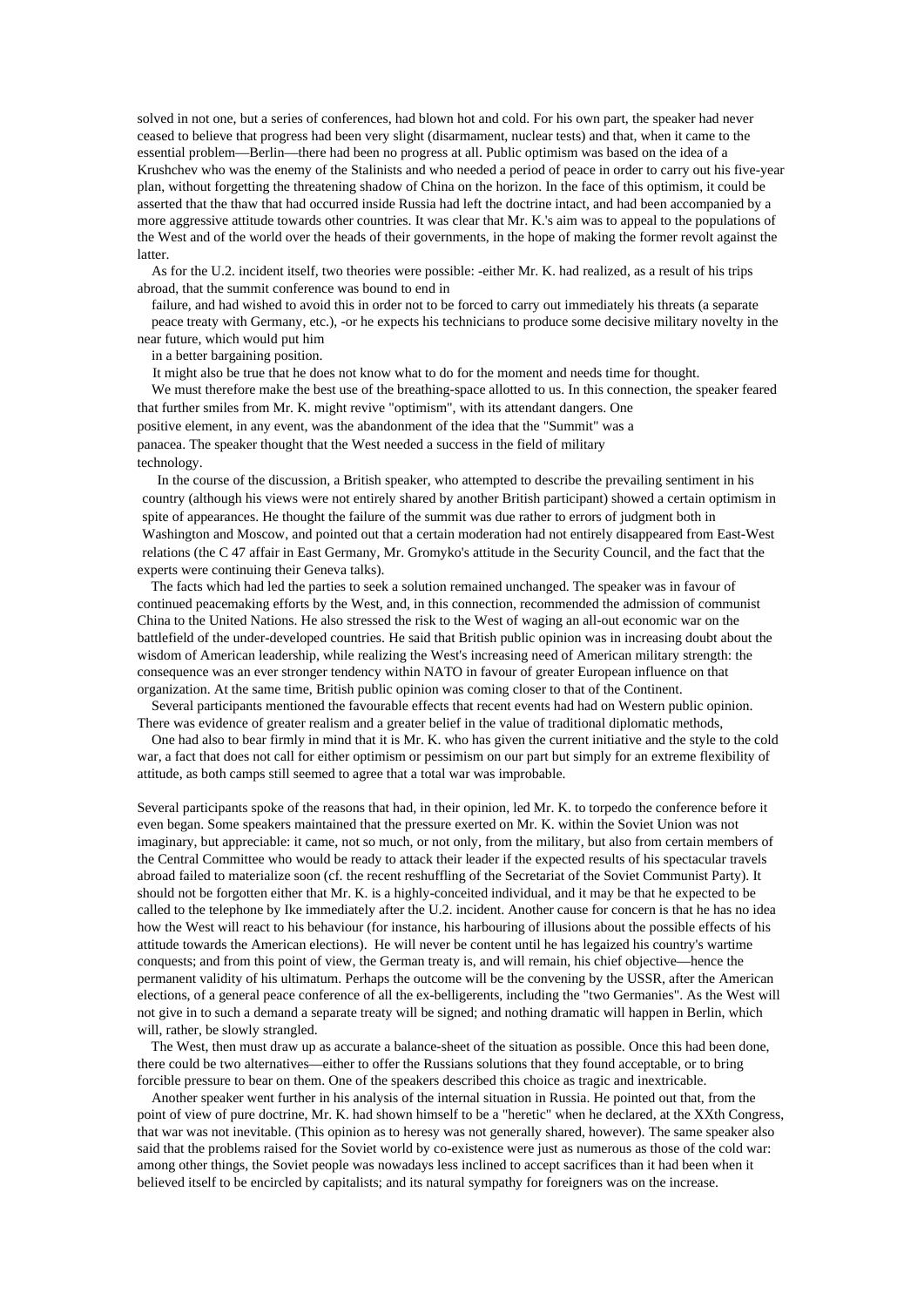solved in not one, but a series of conferences, had blown hot and cold. For his own part, the speaker had never ceased to believe that progress had been very slight (disarmament, nuclear tests) and that, when it came to the essential problem—Berlin—there had been no progress at all. Public optimism was based on the idea of a Krushchev who was the enemy of the Stalinists and who needed a period of peace in order to carry out his five-year plan, without forgetting the threatening shadow of China on the horizon. In the face of this optimism, it could be asserted that the thaw that had occurred inside Russia had left the doctrine intact, and had been accompanied by a more aggressive attitude towards other countries. It was clear that Mr. K.'s aim was to appeal to the populations of the West and of the world over the heads of their governments, in the hope of making the former revolt against the latter.

As for the U.2. incident itself, two theories were possible: -either Mr. K. had realized, as a result of his trips abroad, that the summit conference was bound to end in

failure, and had wished to avoid this in order not to be forced to carry out immediately his threats (a separate peace treaty with Germany, etc.), -or he expects his technicians to produce some decisive military novelty in the near future, which would put him

in a better bargaining position.

It might also be true that he does not know what to do for the moment and needs time for thought.

We must therefore make the best use of the breathing-space allotted to us. In this connection, the speaker feared that further smiles from Mr. K. might revive "optimism", with its attendant dangers. One positive element, in any event, was the abandonment of the idea that the "Summit" was a panacea. The speaker thought that the West needed a success in the field of military technology.

In the course of the discussion, a British speaker, who attempted to describe the prevailing sentiment in his country (although his views were not entirely shared by another British participant) showed a certain optimism in spite of appearances. He thought the failure of the summit was due rather to errors of judgment both in Washington and Moscow, and pointed out that a certain moderation had not entirely disappeared from East-West relations (the C 47 affair in East Germany, Mr. Gromyko's attitude in the Security Council, and the fact that the experts were continuing their Geneva talks).

The facts which had led the parties to seek a solution remained unchanged. The speaker was in favour of continued peacemaking efforts by the West, and, in this connection, recommended the admission of communist China to the United Nations. He also stressed the risk to the West of waging an all-out economic war on the battlefield of the under-developed countries. He said that British public opinion was in increasing doubt about the wisdom of American leadership, while realizing the West's increasing need of American military strength: the consequence was an ever stronger tendency within NATO in favour of greater European influence on that organization. At the same time, British public opinion was coming closer to that of the Continent.

Several participants mentioned the favourable effects that recent events had had on Western public opinion. There was evidence of greater realism and a greater belief in the value of traditional diplomatic methods,

One had also to bear firmly in mind that it is Mr. K. who has given the current initiative and the style to the cold war, a fact that does not call for either optimism or pessimism on our part but simply for an extreme flexibility of attitude, as both camps still seemed to agree that a total war was improbable.

Several participants spoke of the reasons that had, in their opinion, led Mr. K. to torpedo the conference before it even began. Some speakers maintained that the pressure exerted on Mr. K. within the Soviet Union was not imaginary, but appreciable: it came, not so much, or not only, from the military, but also from certain members of the Central Committee who would be ready to attack their leader if the expected results of his spectacular travels abroad failed to materialize soon (cf. the recent reshuffling of the Secretariat of the Soviet Communist Party). It should not be forgotten either that Mr. K. is a highly-conceited individual, and it may be that he expected to be called to the telephone by Ike immediately after the U.2. incident. Another cause for concern is that he has no idea how the West will react to his behaviour (for instance, his harbouring of illusions about the possible effects of his attitude towards the American elections). He will never be content until he has legaized his country's wartime conquests; and from this point of view, the German treaty is, and will remain, his chief objective—hence the permanent validity of his ultimatum. Perhaps the outcome will be the convening by the USSR, after the American elections, of a general peace conference of all the ex-belligerents, including the "two Germanies". As the West will not give in to such a demand a separate treaty will be signed; and nothing dramatic will happen in Berlin, which will, rather, be slowly strangled.

The West, then must draw up as accurate a balance-sheet of the situation as possible. Once this had been done, there could be two alternatives—either to offer the Russians solutions that they found acceptable, or to bring forcible pressure to bear on them. One of the speakers described this choice as tragic and inextricable.

Another speaker went further in his analysis of the internal situation in Russia. He pointed out that, from the point of view of pure doctrine, Mr. K. had shown himself to be a "heretic" when he declared, at the XXth Congress, that war was not inevitable. (This opinion as to heresy was not generally shared, however). The same speaker also said that the problems raised for the Soviet world by co-existence were just as numerous as those of the cold war: among other things, the Soviet people was nowadays less inclined to accept sacrifices than it had been when it believed itself to be encircled by capitalists; and its natural sympathy for foreigners was on the increase.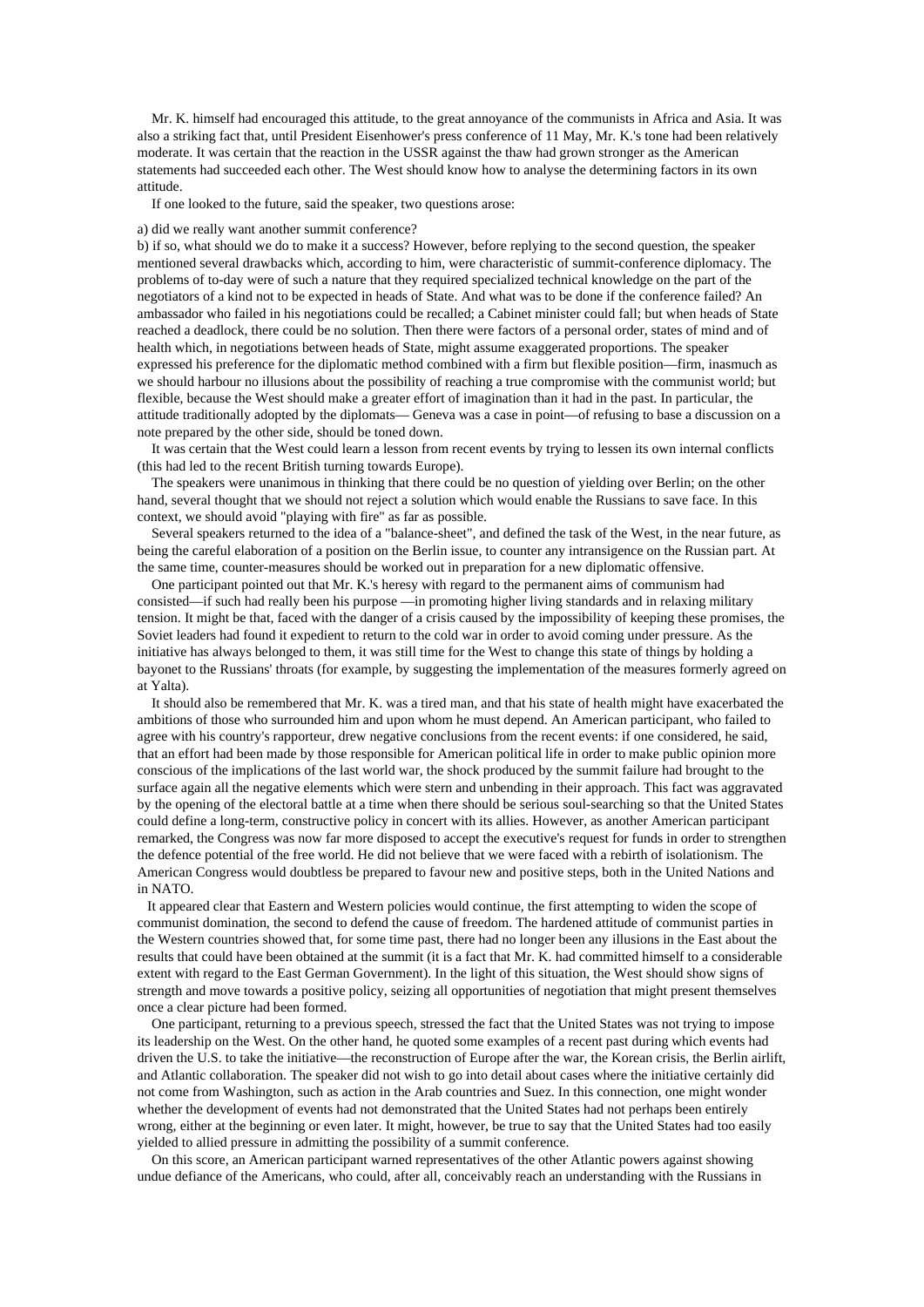Mr. K. himself had encouraged this attitude, to the great annoyance of the communists in Africa and Asia. It was also a striking fact that, until President Eisenhower's press conference of 11 May, Mr. K.'s tone had been relatively moderate. It was certain that the reaction in the USSR against the thaw had grown stronger as the American statements had succeeded each other. The West should know how to analyse the determining factors in its own attitude.

If one looked to the future, said the speaker, two questions arose:

#### a) did we really want another summit conference?

b) if so, what should we do to make it a success? However, before replying to the second question, the speaker mentioned several drawbacks which, according to him, were characteristic of summit-conference diplomacy. The problems of to-day were of such a nature that they required specialized technical knowledge on the part of the negotiators of a kind not to be expected in heads of State. And what was to be done if the conference failed? An ambassador who failed in his negotiations could be recalled; a Cabinet minister could fall; but when heads of State reached a deadlock, there could be no solution. Then there were factors of a personal order, states of mind and of health which, in negotiations between heads of State, might assume exaggerated proportions. The speaker expressed his preference for the diplomatic method combined with a firm but flexible position—firm, inasmuch as we should harbour no illusions about the possibility of reaching a true compromise with the communist world; but flexible, because the West should make a greater effort of imagination than it had in the past. In particular, the attitude traditionally adopted by the diplomats— Geneva was a case in point—of refusing to base a discussion on a note prepared by the other side, should be toned down.

It was certain that the West could learn a lesson from recent events by trying to lessen its own internal conflicts (this had led to the recent British turning towards Europe).

The speakers were unanimous in thinking that there could be no question of yielding over Berlin; on the other hand, several thought that we should not reject a solution which would enable the Russians to save face. In this context, we should avoid "playing with fire" as far as possible.

Several speakers returned to the idea of a "balance-sheet", and defined the task of the West, in the near future, as being the careful elaboration of a position on the Berlin issue, to counter any intransigence on the Russian part. At the same time, counter-measures should be worked out in preparation for a new diplomatic offensive.

One participant pointed out that Mr. K.'s heresy with regard to the permanent aims of communism had consisted—if such had really been his purpose —in promoting higher living standards and in relaxing military tension. It might be that, faced with the danger of a crisis caused by the impossibility of keeping these promises, the Soviet leaders had found it expedient to return to the cold war in order to avoid coming under pressure. As the initiative has always belonged to them, it was still time for the West to change this state of things by holding a bayonet to the Russians' throats (for example, by suggesting the implementation of the measures formerly agreed on at Yalta).

It should also be remembered that Mr. K. was a tired man, and that his state of health might have exacerbated the ambitions of those who surrounded him and upon whom he must depend. An American participant, who failed to agree with his country's rapporteur, drew negative conclusions from the recent events: if one considered, he said, that an effort had been made by those responsible for American political life in order to make public opinion more conscious of the implications of the last world war, the shock produced by the summit failure had brought to the surface again all the negative elements which were stern and unbending in their approach. This fact was aggravated by the opening of the electoral battle at a time when there should be serious soul-searching so that the United States could define a long-term, constructive policy in concert with its allies. However, as another American participant remarked, the Congress was now far more disposed to accept the executive's request for funds in order to strengthen the defence potential of the free world. He did not believe that we were faced with a rebirth of isolationism. The American Congress would doubtless be prepared to favour new and positive steps, both in the United Nations and in NATO.

It appeared clear that Eastern and Western policies would continue, the first attempting to widen the scope of communist domination, the second to defend the cause of freedom. The hardened attitude of communist parties in the Western countries showed that, for some time past, there had no longer been any illusions in the East about the results that could have been obtained at the summit (it is a fact that Mr. K. had committed himself to a considerable extent with regard to the East German Government). In the light of this situation, the West should show signs of strength and move towards a positive policy, seizing all opportunities of negotiation that might present themselves once a clear picture had been formed.

One participant, returning to a previous speech, stressed the fact that the United States was not trying to impose its leadership on the West. On the other hand, he quoted some examples of a recent past during which events had driven the U.S. to take the initiative—the reconstruction of Europe after the war, the Korean crisis, the Berlin airlift, and Atlantic collaboration. The speaker did not wish to go into detail about cases where the initiative certainly did not come from Washington, such as action in the Arab countries and Suez. In this connection, one might wonder whether the development of events had not demonstrated that the United States had not perhaps been entirely wrong, either at the beginning or even later. It might, however, be true to say that the United States had too easily yielded to allied pressure in admitting the possibility of a summit conference.

On this score, an American participant warned representatives of the other Atlantic powers against showing undue defiance of the Americans, who could, after all, conceivably reach an understanding with the Russians in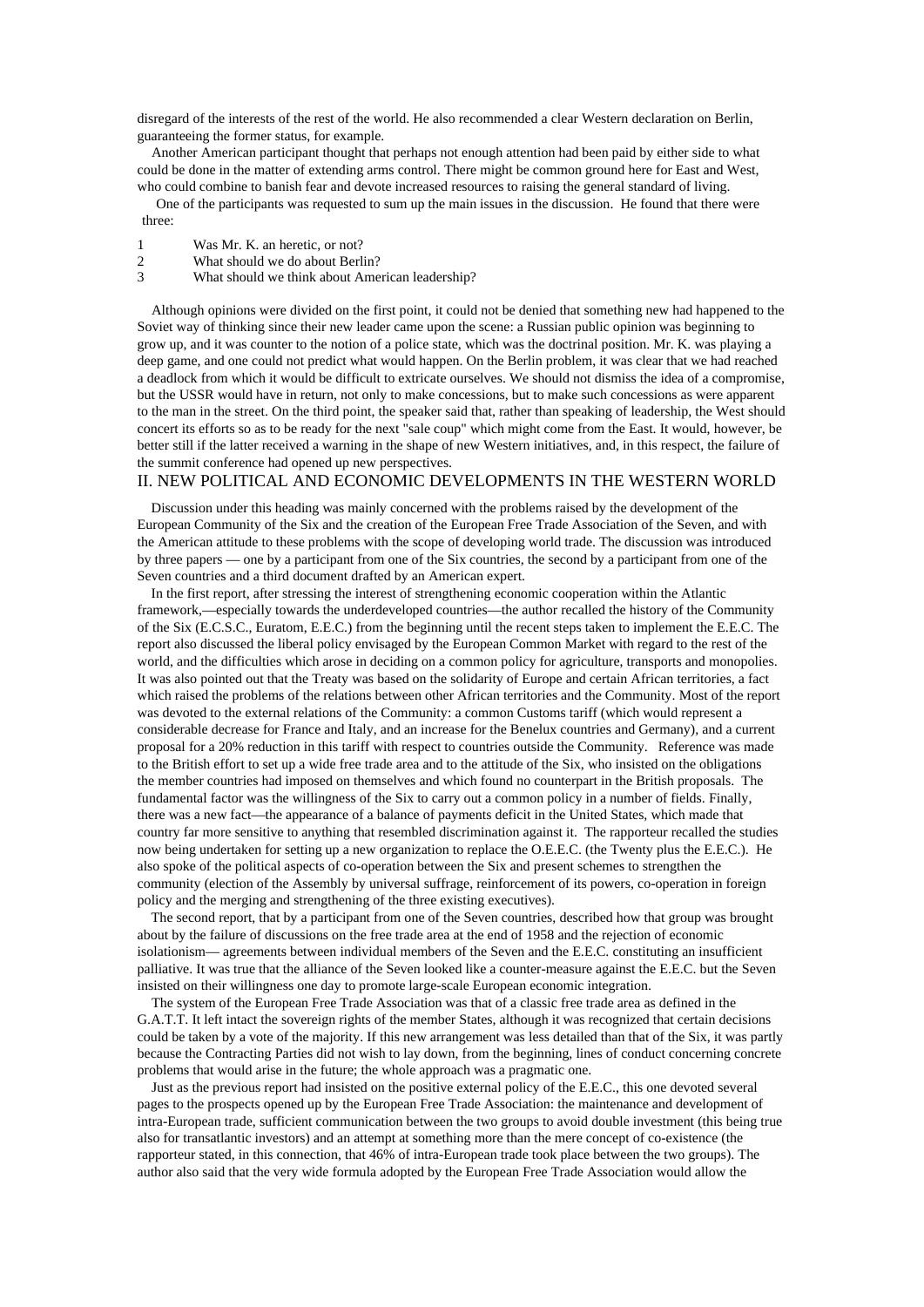disregard of the interests of the rest of the world. He also recommended a clear Western declaration on Berlin, guaranteeing the former status, for example.

Another American participant thought that perhaps not enough attention had been paid by either side to what could be done in the matter of extending arms control. There might be common ground here for East and West, who could combine to banish fear and devote increased resources to raising the general standard of living.

One of the participants was requested to sum up the main issues in the discussion. He found that there were three:

- 1 Was Mr. K. an heretic, or not?<br>2 What should we do about Berl
- What should we do about Berlin?
- 3 What should we think about American leadership?

Although opinions were divided on the first point, it could not be denied that something new had happened to the Soviet way of thinking since their new leader came upon the scene: a Russian public opinion was beginning to grow up, and it was counter to the notion of a police state, which was the doctrinal position. Mr. K. was playing a deep game, and one could not predict what would happen. On the Berlin problem, it was clear that we had reached a deadlock from which it would be difficult to extricate ourselves. We should not dismiss the idea of a compromise, but the USSR would have in return, not only to make concessions, but to make such concessions as were apparent to the man in the street. On the third point, the speaker said that, rather than speaking of leadership, the West should concert its efforts so as to be ready for the next "sale coup" which might come from the East. It would, however, be better still if the latter received a warning in the shape of new Western initiatives, and, in this respect, the failure of the summit conference had opened up new perspectives.

## II. NEW POLITICAL AND ECONOMIC DEVELOPMENTS IN THE WESTERN WORLD

Discussion under this heading was mainly concerned with the problems raised by the development of the European Community of the Six and the creation of the European Free Trade Association of the Seven, and with the American attitude to these problems with the scope of developing world trade. The discussion was introduced by three papers — one by a participant from one of the Six countries, the second by a participant from one of the Seven countries and a third document drafted by an American expert.

In the first report, after stressing the interest of strengthening economic cooperation within the Atlantic framework,—especially towards the underdeveloped countries—the author recalled the history of the Community of the Six (E.C.S.C., Euratom, E.E.C.) from the beginning until the recent steps taken to implement the E.E.C. The report also discussed the liberal policy envisaged by the European Common Market with regard to the rest of the world, and the difficulties which arose in deciding on a common policy for agriculture, transports and monopolies. It was also pointed out that the Treaty was based on the solidarity of Europe and certain African territories, a fact which raised the problems of the relations between other African territories and the Community. Most of the report was devoted to the external relations of the Community: a common Customs tariff (which would represent a considerable decrease for France and Italy, and an increase for the Benelux countries and Germany), and a current proposal for a 20% reduction in this tariff with respect to countries outside the Community. Reference was made to the British effort to set up a wide free trade area and to the attitude of the Six, who insisted on the obligations the member countries had imposed on themselves and which found no counterpart in the British proposals. The fundamental factor was the willingness of the Six to carry out a common policy in a number of fields. Finally, there was a new fact—the appearance of a balance of payments deficit in the United States, which made that country far more sensitive to anything that resembled discrimination against it. The rapporteur recalled the studies now being undertaken for setting up a new organization to replace the O.E.E.C. (the Twenty plus the E.E.C.). He also spoke of the political aspects of co-operation between the Six and present schemes to strengthen the community (election of the Assembly by universal suffrage, reinforcement of its powers, co-operation in foreign policy and the merging and strengthening of the three existing executives).

The second report, that by a participant from one of the Seven countries, described how that group was brought about by the failure of discussions on the free trade area at the end of 1958 and the rejection of economic isolationism— agreements between individual members of the Seven and the E.E.C. constituting an insufficient palliative. It was true that the alliance of the Seven looked like a counter-measure against the E.E.C. but the Seven insisted on their willingness one day to promote large-scale European economic integration.

The system of the European Free Trade Association was that of a classic free trade area as defined in the G.A.T.T. It left intact the sovereign rights of the member States, although it was recognized that certain decisions could be taken by a vote of the majority. If this new arrangement was less detailed than that of the Six, it was partly because the Contracting Parties did not wish to lay down, from the beginning, lines of conduct concerning concrete problems that would arise in the future; the whole approach was a pragmatic one.

Just as the previous report had insisted on the positive external policy of the E.E.C., this one devoted several pages to the prospects opened up by the European Free Trade Association: the maintenance and development of intra-European trade, sufficient communication between the two groups to avoid double investment (this being true also for transatlantic investors) and an attempt at something more than the mere concept of co-existence (the rapporteur stated, in this connection, that 46% of intra-European trade took place between the two groups). The author also said that the very wide formula adopted by the European Free Trade Association would allow the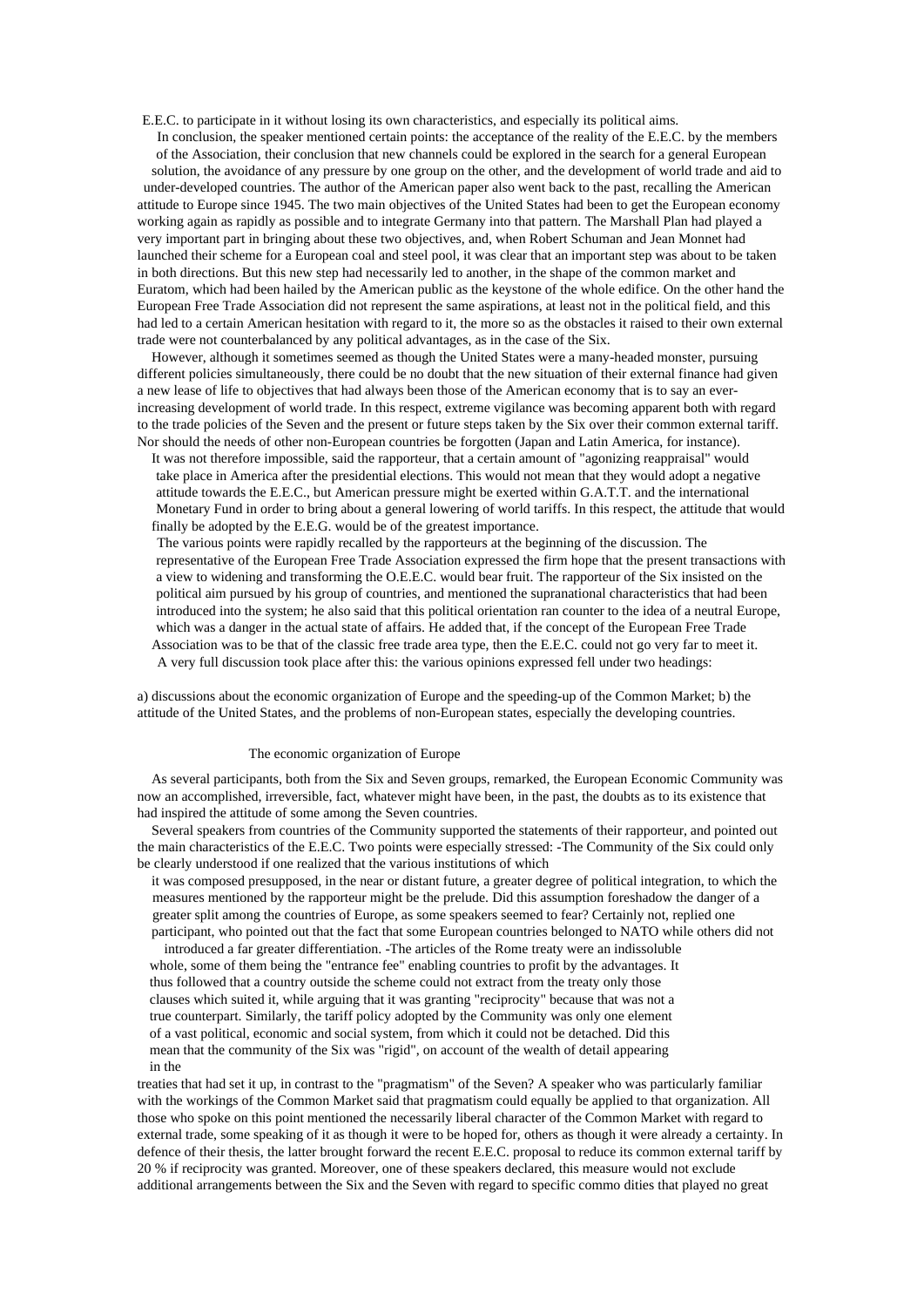E.E.C. to participate in it without losing its own characteristics, and especially its political aims. In conclusion, the speaker mentioned certain points: the acceptance of the reality of the E.E.C. by the members of the Association, their conclusion that new channels could be explored in the search for a general European solution, the avoidance of any pressure by one group on the other, and the development of world trade and aid to under-developed countries. The author of the American paper also went back to the past, recalling the American attitude to Europe since 1945. The two main objectives of the United States had been to get the European economy working again as rapidly as possible and to integrate Germany into that pattern. The Marshall Plan had played a very important part in bringing about these two objectives, and, when Robert Schuman and Jean Monnet had launched their scheme for a European coal and steel pool, it was clear that an important step was about to be taken in both directions. But this new step had necessarily led to another, in the shape of the common market and Euratom, which had been hailed by the American public as the keystone of the whole edifice. On the other hand the European Free Trade Association did not represent the same aspirations, at least not in the political field, and this had led to a certain American hesitation with regard to it, the more so as the obstacles it raised to their own external trade were not counterbalanced by any political advantages, as in the case of the Six.

However, although it sometimes seemed as though the United States were a many-headed monster, pursuing different policies simultaneously, there could be no doubt that the new situation of their external finance had given a new lease of life to objectives that had always been those of the American economy that is to say an everincreasing development of world trade. In this respect, extreme vigilance was becoming apparent both with regard to the trade policies of the Seven and the present or future steps taken by the Six over their common external tariff. Nor should the needs of other non-European countries be forgotten (Japan and Latin America, for instance).

It was not therefore impossible, said the rapporteur, that a certain amount of "agonizing reappraisal" would take place in America after the presidential elections. This would not mean that they would adopt a negative attitude towards the E.E.C., but American pressure might be exerted within G.A.T.T. and the international Monetary Fund in order to bring about a general lowering of world tariffs. In this respect, the attitude that would finally be adopted by the E.E.G. would be of the greatest importance.

The various points were rapidly recalled by the rapporteurs at the beginning of the discussion. The representative of the European Free Trade Association expressed the firm hope that the present transactions with a view to widening and transforming the O.E.E.C. would bear fruit. The rapporteur of the Six insisted on the political aim pursued by his group of countries, and mentioned the supranational characteristics that had been introduced into the system; he also said that this political orientation ran counter to the idea of a neutral Europe, which was a danger in the actual state of affairs. He added that, if the concept of the European Free Trade Association was to be that of the classic free trade area type, then the E.E.C. could not go very far to meet it. A very full discussion took place after this: the various opinions expressed fell under two headings:

a) discussions about the economic organization of Europe and the speeding-up of the Common Market; b) the attitude of the United States, and the problems of non-European states, especially the developing countries.

#### The economic organization of Europe

As several participants, both from the Six and Seven groups, remarked, the European Economic Community was now an accomplished, irreversible, fact, whatever might have been, in the past, the doubts as to its existence that had inspired the attitude of some among the Seven countries.

Several speakers from countries of the Community supported the statements of their rapporteur, and pointed out the main characteristics of the E.E.C. Two points were especially stressed: -The Community of the Six could only be clearly understood if one realized that the various institutions of which

it was composed presupposed, in the near or distant future, a greater degree of political integration, to which the measures mentioned by the rapporteur might be the prelude. Did this assumption foreshadow the danger of a greater split among the countries of Europe, as some speakers seemed to fear? Certainly not, replied one participant, who pointed out that the fact that some European countries belonged to NATO while others did not

introduced a far greater differentiation. -The articles of the Rome treaty were an indissoluble whole, some of them being the "entrance fee" enabling countries to profit by the advantages. It thus followed that a country outside the scheme could not extract from the treaty only those clauses which suited it, while arguing that it was granting "reciprocity" because that was not a true counterpart. Similarly, the tariff policy adopted by the Community was only one element of a vast political, economic and social system, from which it could not be detached. Did this mean that the community of the Six was "rigid", on account of the wealth of detail appearing in the

treaties that had set it up, in contrast to the "pragmatism" of the Seven? A speaker who was particularly familiar with the workings of the Common Market said that pragmatism could equally be applied to that organization. All those who spoke on this point mentioned the necessarily liberal character of the Common Market with regard to external trade, some speaking of it as though it were to be hoped for, others as though it were already a certainty. In defence of their thesis, the latter brought forward the recent E.E.C. proposal to reduce its common external tariff by 20 % if reciprocity was granted. Moreover, one of these speakers declared, this measure would not exclude additional arrangements between the Six and the Seven with regard to specific commo dities that played no great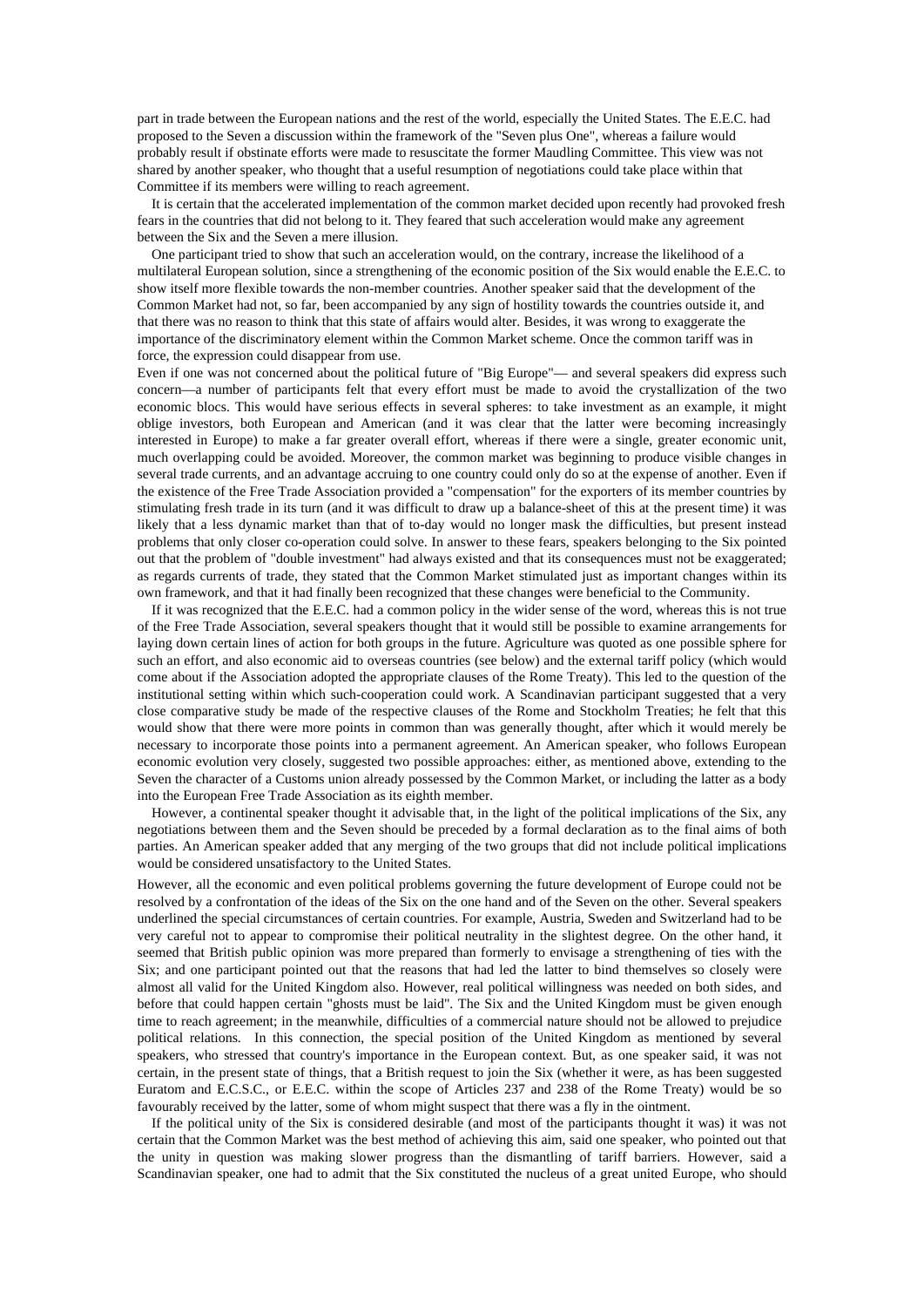part in trade between the European nations and the rest of the world, especially the United States. The E.E.C. had proposed to the Seven a discussion within the framework of the "Seven plus One", whereas a failure would probably result if obstinate efforts were made to resuscitate the former Maudling Committee. This view was not shared by another speaker, who thought that a useful resumption of negotiations could take place within that Committee if its members were willing to reach agreement.

It is certain that the accelerated implementation of the common market decided upon recently had provoked fresh fears in the countries that did not belong to it. They feared that such acceleration would make any agreement between the Six and the Seven a mere illusion.

One participant tried to show that such an acceleration would, on the contrary, increase the likelihood of a multilateral European solution, since a strengthening of the economic position of the Six would enable the E.E.C. to show itself more flexible towards the non-member countries. Another speaker said that the development of the Common Market had not, so far, been accompanied by any sign of hostility towards the countries outside it, and that there was no reason to think that this state of affairs would alter. Besides, it was wrong to exaggerate the importance of the discriminatory element within the Common Market scheme. Once the common tariff was in force, the expression could disappear from use.

Even if one was not concerned about the political future of "Big Europe"— and several speakers did express such concern—a number of participants felt that every effort must be made to avoid the crystallization of the two economic blocs. This would have serious effects in several spheres: to take investment as an example, it might oblige investors, both European and American (and it was clear that the latter were becoming increasingly interested in Europe) to make a far greater overall effort, whereas if there were a single, greater economic unit, much overlapping could be avoided. Moreover, the common market was beginning to produce visible changes in several trade currents, and an advantage accruing to one country could only do so at the expense of another. Even if the existence of the Free Trade Association provided a "compensation" for the exporters of its member countries by stimulating fresh trade in its turn (and it was difficult to draw up a balance-sheet of this at the present time) it was likely that a less dynamic market than that of to-day would no longer mask the difficulties, but present instead problems that only closer co-operation could solve. In answer to these fears, speakers belonging to the Six pointed out that the problem of "double investment" had always existed and that its consequences must not be exaggerated; as regards currents of trade, they stated that the Common Market stimulated just as important changes within its own framework, and that it had finally been recognized that these changes were beneficial to the Community.

If it was recognized that the E.E.C. had a common policy in the wider sense of the word, whereas this is not true of the Free Trade Association, several speakers thought that it would still be possible to examine arrangements for laying down certain lines of action for both groups in the future. Agriculture was quoted as one possible sphere for such an effort, and also economic aid to overseas countries (see below) and the external tariff policy (which would come about if the Association adopted the appropriate clauses of the Rome Treaty). This led to the question of the institutional setting within which such-cooperation could work. A Scandinavian participant suggested that a very close comparative study be made of the respective clauses of the Rome and Stockholm Treaties; he felt that this would show that there were more points in common than was generally thought, after which it would merely be necessary to incorporate those points into a permanent agreement. An American speaker, who follows European economic evolution very closely, suggested two possible approaches: either, as mentioned above, extending to the Seven the character of a Customs union already possessed by the Common Market, or including the latter as a body into the European Free Trade Association as its eighth member.

However, a continental speaker thought it advisable that, in the light of the political implications of the Six, any negotiations between them and the Seven should be preceded by a formal declaration as to the final aims of both parties. An American speaker added that any merging of the two groups that did not include political implications would be considered unsatisfactory to the United States.

However, all the economic and even political problems governing the future development of Europe could not be resolved by a confrontation of the ideas of the Six on the one hand and of the Seven on the other. Several speakers underlined the special circumstances of certain countries. For example, Austria, Sweden and Switzerland had to be very careful not to appear to compromise their political neutrality in the slightest degree. On the other hand, it seemed that British public opinion was more prepared than formerly to envisage a strengthening of ties with the Six; and one participant pointed out that the reasons that had led the latter to bind themselves so closely were almost all valid for the United Kingdom also. However, real political willingness was needed on both sides, and before that could happen certain "ghosts must be laid". The Six and the United Kingdom must be given enough time to reach agreement; in the meanwhile, difficulties of a commercial nature should not be allowed to prejudice political relations. In this connection, the special position of the United Kingdom as mentioned by several speakers, who stressed that country's importance in the European context. But, as one speaker said, it was not certain, in the present state of things, that a British request to join the Six (whether it were, as has been suggested Euratom and E.C.S.C., or E.E.C. within the scope of Articles 237 and 238 of the Rome Treaty) would be so favourably received by the latter, some of whom might suspect that there was a fly in the ointment.

If the political unity of the Six is considered desirable (and most of the participants thought it was) it was not certain that the Common Market was the best method of achieving this aim, said one speaker, who pointed out that the unity in question was making slower progress than the dismantling of tariff barriers. However, said a Scandinavian speaker, one had to admit that the Six constituted the nucleus of a great united Europe, who should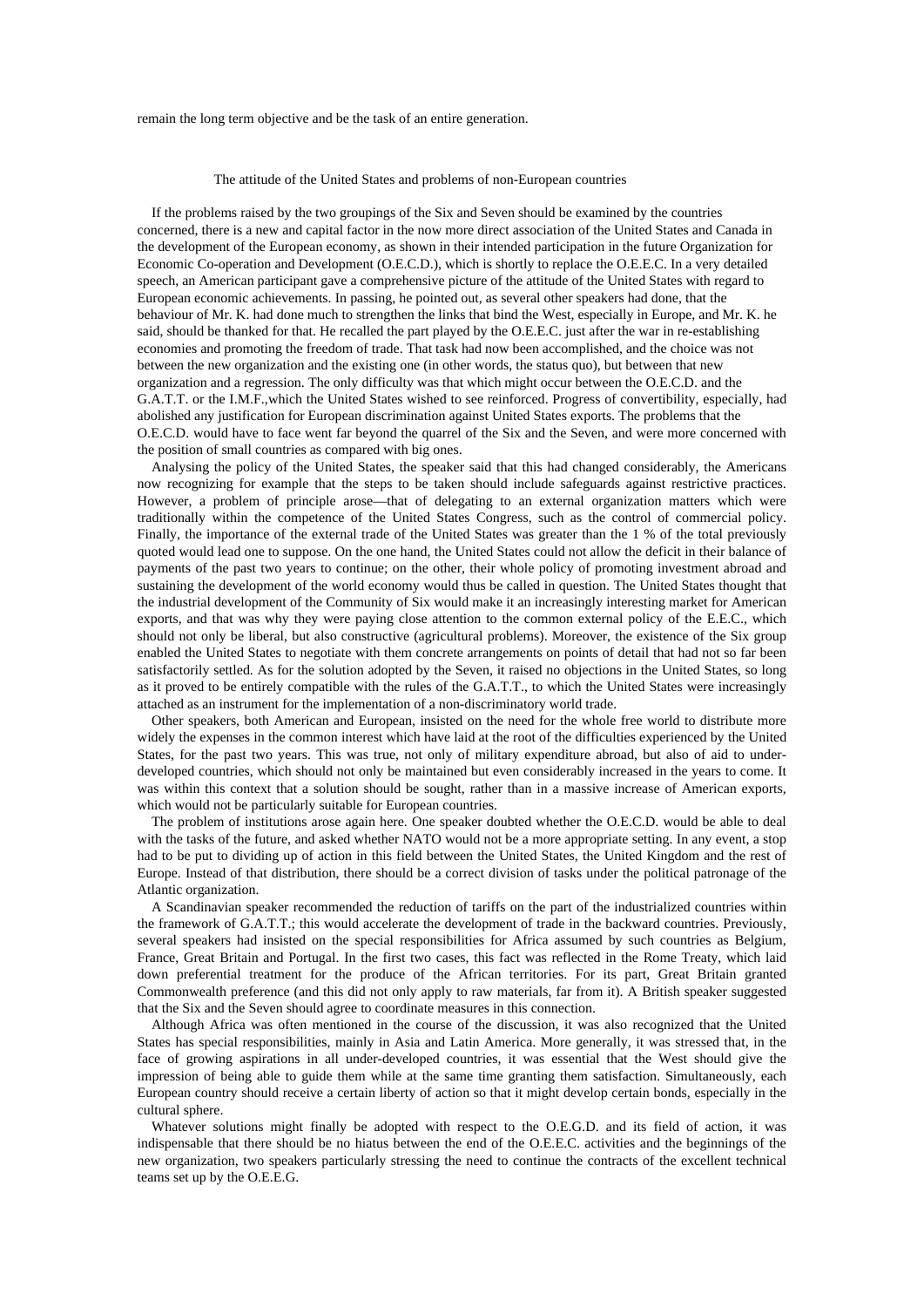remain the long term objective and be the task of an entire generation.

#### The attitude of the United States and problems of non-European countries

If the problems raised by the two groupings of the Six and Seven should be examined by the countries concerned, there is a new and capital factor in the now more direct association of the United States and Canada in the development of the European economy, as shown in their intended participation in the future Organization for Economic Co-operation and Development (O.E.C.D.), which is shortly to replace the O.E.E.C. In a very detailed speech, an American participant gave a comprehensive picture of the attitude of the United States with regard to European economic achievements. In passing, he pointed out, as several other speakers had done, that the behaviour of Mr. K. had done much to strengthen the links that bind the West, especially in Europe, and Mr. K. he said, should be thanked for that. He recalled the part played by the O.E.E.C. just after the war in re-establishing economies and promoting the freedom of trade. That task had now been accomplished, and the choice was not between the new organization and the existing one (in other words, the status quo), but between that new organization and a regression. The only difficulty was that which might occur between the O.E.C.D. and the G.A.T.T. or the I.M.F.,which the United States wished to see reinforced. Progress of convertibility, especially, had abolished any justification for European discrimination against United States exports. The problems that the O.E.C.D. would have to face went far beyond the quarrel of the Six and the Seven, and were more concerned with the position of small countries as compared with big ones.

Analysing the policy of the United States, the speaker said that this had changed considerably, the Americans now recognizing for example that the steps to be taken should include safeguards against restrictive practices. However, a problem of principle arose—that of delegating to an external organization matters which were traditionally within the competence of the United States Congress, such as the control of commercial policy. Finally, the importance of the external trade of the United States was greater than the 1 % of the total previously quoted would lead one to suppose. On the one hand, the United States could not allow the deficit in their balance of payments of the past two years to continue; on the other, their whole policy of promoting investment abroad and sustaining the development of the world economy would thus be called in question. The United States thought that the industrial development of the Community of Six would make it an increasingly interesting market for American exports, and that was why they were paying close attention to the common external policy of the E.E.C., which should not only be liberal, but also constructive (agricultural problems). Moreover, the existence of the Six group enabled the United States to negotiate with them concrete arrangements on points of detail that had not so far been satisfactorily settled. As for the solution adopted by the Seven, it raised no objections in the United States, so long as it proved to be entirely compatible with the rules of the G.A.T.T., to which the United States were increasingly attached as an instrument for the implementation of a non-discriminatory world trade.

Other speakers, both American and European, insisted on the need for the whole free world to distribute more widely the expenses in the common interest which have laid at the root of the difficulties experienced by the United States, for the past two years. This was true, not only of military expenditure abroad, but also of aid to underdeveloped countries, which should not only be maintained but even considerably increased in the years to come. It was within this context that a solution should be sought, rather than in a massive increase of American exports, which would not be particularly suitable for European countries.

The problem of institutions arose again here. One speaker doubted whether the O.E.C.D. would be able to deal with the tasks of the future, and asked whether NATO would not be a more appropriate setting. In any event, a stop had to be put to dividing up of action in this field between the United States, the United Kingdom and the rest of Europe. Instead of that distribution, there should be a correct division of tasks under the political patronage of the Atlantic organization.

A Scandinavian speaker recommended the reduction of tariffs on the part of the industrialized countries within the framework of G.A.T.T.; this would accelerate the development of trade in the backward countries. Previously, several speakers had insisted on the special responsibilities for Africa assumed by such countries as Belgium, France, Great Britain and Portugal. In the first two cases, this fact was reflected in the Rome Treaty, which laid down preferential treatment for the produce of the African territories. For its part, Great Britain granted Commonwealth preference (and this did not only apply to raw materials, far from it). A British speaker suggested that the Six and the Seven should agree to coordinate measures in this connection.

Although Africa was often mentioned in the course of the discussion, it was also recognized that the United States has special responsibilities, mainly in Asia and Latin America. More generally, it was stressed that, in the face of growing aspirations in all under-developed countries, it was essential that the West should give the impression of being able to guide them while at the same time granting them satisfaction. Simultaneously, each European country should receive a certain liberty of action so that it might develop certain bonds, especially in the cultural sphere.

Whatever solutions might finally be adopted with respect to the O.E.G.D. and its field of action, it was indispensable that there should be no hiatus between the end of the O.E.E.C. activities and the beginnings of the new organization, two speakers particularly stressing the need to continue the contracts of the excellent technical teams set up by the O.E.E.G.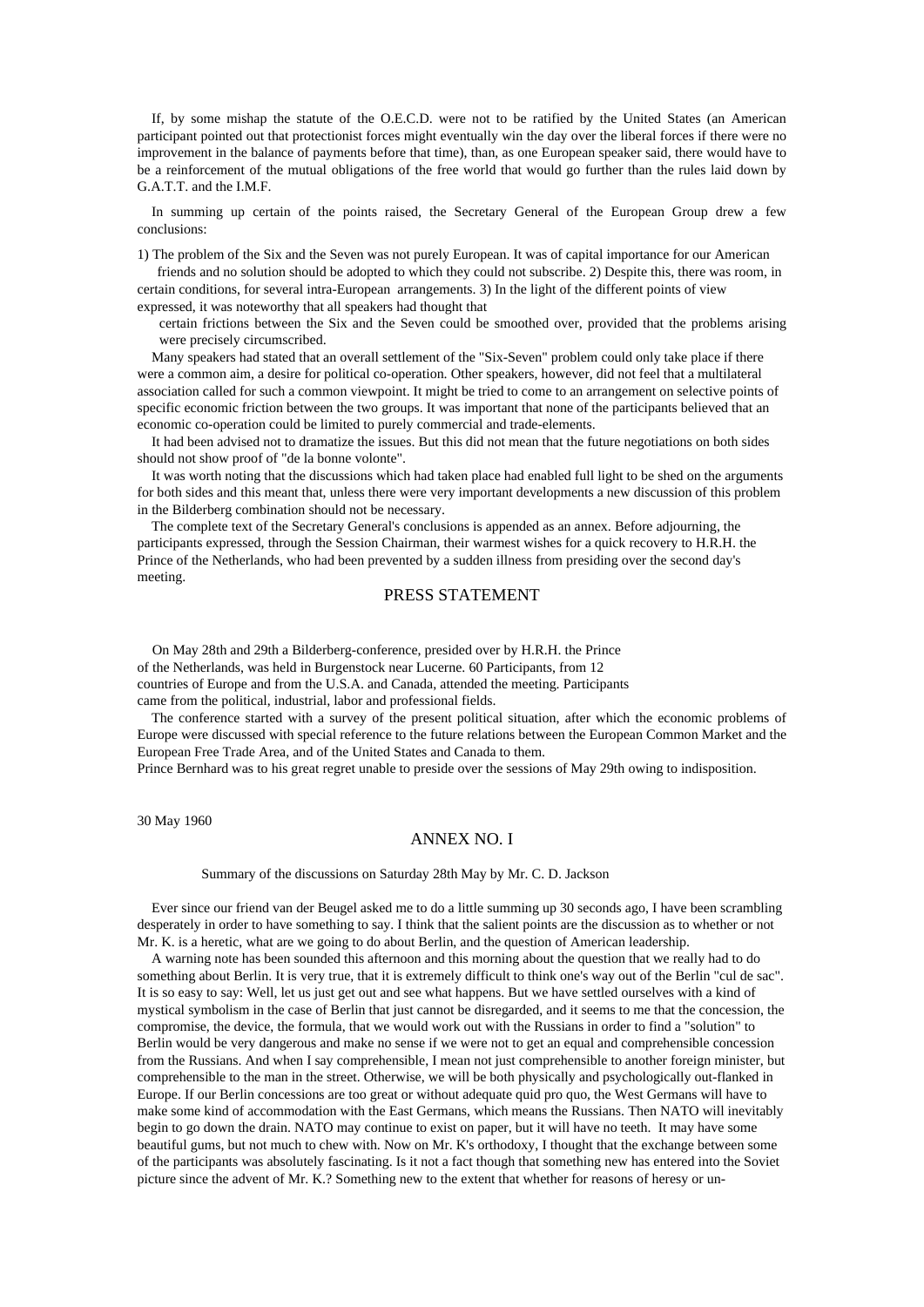If, by some mishap the statute of the O.E.C.D. were not to be ratified by the United States (an American participant pointed out that protectionist forces might eventually win the day over the liberal forces if there were no improvement in the balance of payments before that time), than, as one European speaker said, there would have to be a reinforcement of the mutual obligations of the free world that would go further than the rules laid down by G.A.T.T. and the I.M.F.

In summing up certain of the points raised, the Secretary General of the European Group drew a few conclusions:

1) The problem of the Six and the Seven was not purely European. It was of capital importance for our American friends and no solution should be adopted to which they could not subscribe. 2) Despite this, there was room, in

certain conditions, for several intra-European arrangements. 3) In the light of the different points of view expressed, it was noteworthy that all speakers had thought that

certain frictions between the Six and the Seven could be smoothed over, provided that the problems arising were precisely circumscribed.

Many speakers had stated that an overall settlement of the "Six-Seven" problem could only take place if there were a common aim, a desire for political co-operation. Other speakers, however, did not feel that a multilateral association called for such a common viewpoint. It might be tried to come to an arrangement on selective points of specific economic friction between the two groups. It was important that none of the participants believed that an economic co-operation could be limited to purely commercial and trade-elements.

It had been advised not to dramatize the issues. But this did not mean that the future negotiations on both sides should not show proof of "de la bonne volonte".

It was worth noting that the discussions which had taken place had enabled full light to be shed on the arguments for both sides and this meant that, unless there were very important developments a new discussion of this problem in the Bilderberg combination should not be necessary.

The complete text of the Secretary General's conclusions is appended as an annex. Before adjourning, the participants expressed, through the Session Chairman, their warmest wishes for a quick recovery to H.R.H. the Prince of the Netherlands, who had been prevented by a sudden illness from presiding over the second day's meeting.

### PRESS STATEMENT

On May 28th and 29th a Bilderberg-conference, presided over by H.R.H. the Prince of the Netherlands, was held in Burgenstock near Lucerne. 60 Participants, from 12 countries of Europe and from the U.S.A. and Canada, attended the meeting. Participants came from the political, industrial, labor and professional fields.

The conference started with a survey of the present political situation, after which the economic problems of Europe were discussed with special reference to the future relations between the European Common Market and the European Free Trade Area, and of the United States and Canada to them.

Prince Bernhard was to his great regret unable to preside over the sessions of May 29th owing to indisposition.

30 May 1960

## ANNEX NO. I

#### Summary of the discussions on Saturday 28th May by Mr. C. D. Jackson

Ever since our friend van der Beugel asked me to do a little summing up 30 seconds ago, I have been scrambling desperately in order to have something to say. I think that the salient points are the discussion as to whether or not Mr. K. is a heretic, what are we going to do about Berlin, and the question of American leadership.

A warning note has been sounded this afternoon and this morning about the question that we really had to do something about Berlin. It is very true, that it is extremely difficult to think one's way out of the Berlin "cul de sac". It is so easy to say: Well, let us just get out and see what happens. But we have settled ourselves with a kind of mystical symbolism in the case of Berlin that just cannot be disregarded, and it seems to me that the concession, the compromise, the device, the formula, that we would work out with the Russians in order to find a "solution" to Berlin would be very dangerous and make no sense if we were not to get an equal and comprehensible concession from the Russians. And when I say comprehensible, I mean not just comprehensible to another foreign minister, but comprehensible to the man in the street. Otherwise, we will be both physically and psychologically out-flanked in Europe. If our Berlin concessions are too great or without adequate quid pro quo, the West Germans will have to make some kind of accommodation with the East Germans, which means the Russians. Then NATO will inevitably begin to go down the drain. NATO may continue to exist on paper, but it will have no teeth. It may have some beautiful gums, but not much to chew with. Now on Mr. K's orthodoxy, I thought that the exchange between some of the participants was absolutely fascinating. Is it not a fact though that something new has entered into the Soviet picture since the advent of Mr. K.? Something new to the extent that whether for reasons of heresy or un-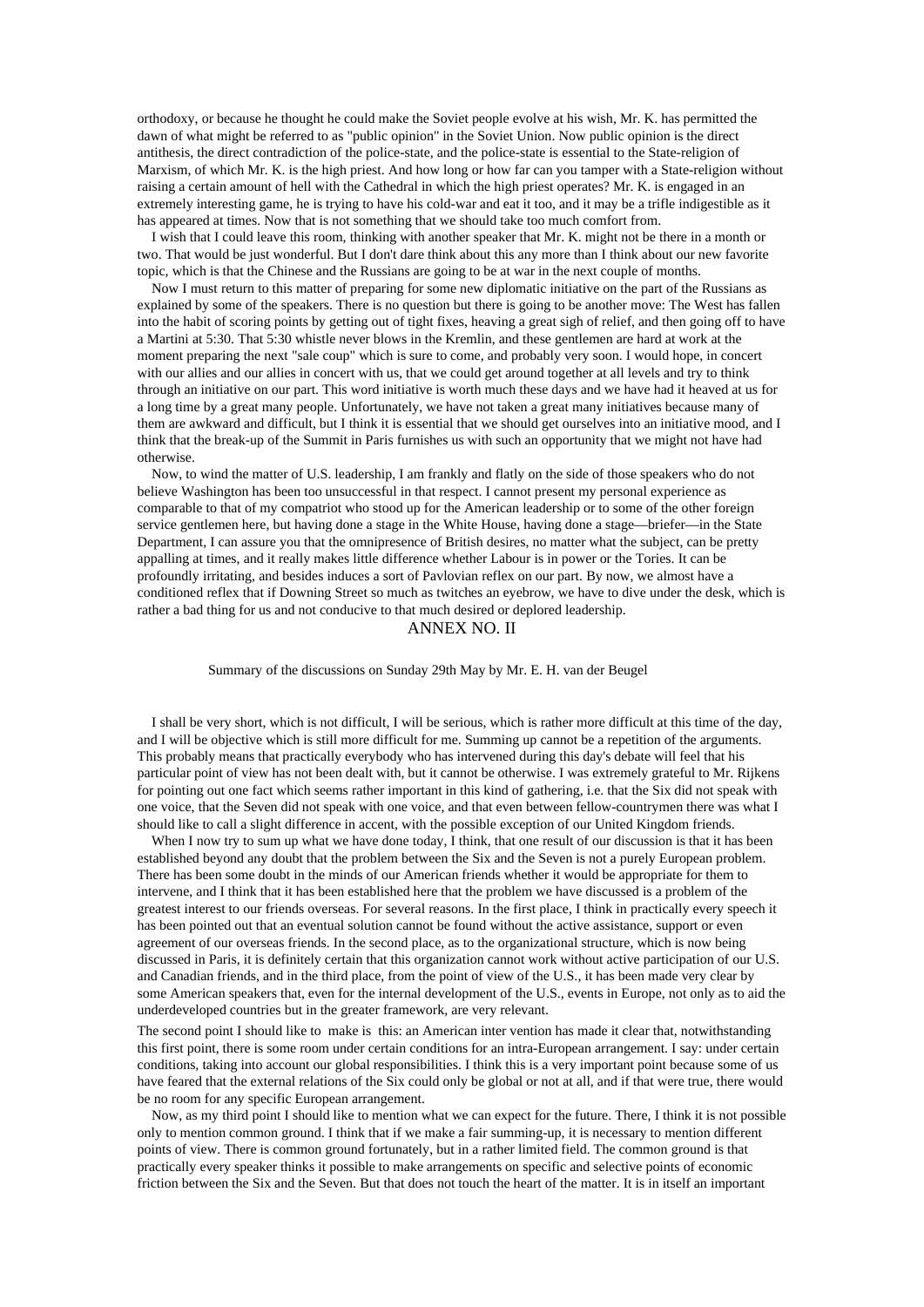orthodoxy, or because he thought he could make the Soviet people evolve at his wish, Mr. K. has permitted the dawn of what might be referred to as "public opinion" in the Soviet Union. Now public opinion is the direct antithesis, the direct contradiction of the police-state, and the police-state is essential to the State-religion of Marxism, of which Mr. K. is the high priest. And how long or how far can you tamper with a State-religion without raising a certain amount of hell with the Cathedral in which the high priest operates? Mr. K. is engaged in an extremely interesting game, he is trying to have his cold-war and eat it too, and it may be a trifle indigestible as it has appeared at times. Now that is not something that we should take too much comfort from.

I wish that I could leave this room, thinking with another speaker that Mr. K. might not be there in a month or two. That would be just wonderful. But I don't dare think about this any more than I think about our new favorite topic, which is that the Chinese and the Russians are going to be at war in the next couple of months.

Now I must return to this matter of preparing for some new diplomatic initiative on the part of the Russians as explained by some of the speakers. There is no question but there is going to be another move: The West has fallen into the habit of scoring points by getting out of tight fixes, heaving a great sigh of relief, and then going off to have a Martini at 5:30. That 5:30 whistle never blows in the Kremlin, and these gentlemen are hard at work at the moment preparing the next "sale coup" which is sure to come, and probably very soon. I would hope, in concert with our allies and our allies in concert with us, that we could get around together at all levels and try to think through an initiative on our part. This word initiative is worth much these days and we have had it heaved at us for a long time by a great many people. Unfortunately, we have not taken a great many initiatives because many of them are awkward and difficult, but I think it is essential that we should get ourselves into an initiative mood, and I think that the break-up of the Summit in Paris furnishes us with such an opportunity that we might not have had otherwise.

Now, to wind the matter of U.S. leadership, I am frankly and flatly on the side of those speakers who do not believe Washington has been too unsuccessful in that respect. I cannot present my personal experience as comparable to that of my compatriot who stood up for the American leadership or to some of the other foreign service gentlemen here, but having done a stage in the White House, having done a stage—briefer—in the State Department, I can assure you that the omnipresence of British desires, no matter what the subject, can be pretty appalling at times, and it really makes little difference whether Labour is in power or the Tories. It can be profoundly irritating, and besides induces a sort of Pavlovian reflex on our part. By now, we almost have a conditioned reflex that if Downing Street so much as twitches an eyebrow, we have to dive under the desk, which is rather a bad thing for us and not conducive to that much desired or deplored leadership.

## ANNEX NO. II

Summary of the discussions on Sunday 29th May by Mr. E. H. van der Beugel

I shall be very short, which is not difficult, I will be serious, which is rather more difficult at this time of the day, and I will be objective which is still more difficult for me. Summing up cannot be a repetition of the arguments. This probably means that practically everybody who has intervened during this day's debate will feel that his particular point of view has not been dealt with, but it cannot be otherwise. I was extremely grateful to Mr. Rijkens for pointing out one fact which seems rather important in this kind of gathering, i.e. that the Six did not speak with one voice, that the Seven did not speak with one voice, and that even between fellow-countrymen there was what I should like to call a slight difference in accent, with the possible exception of our United Kingdom friends.

When I now try to sum up what we have done today, I think, that one result of our discussion is that it has been established beyond any doubt that the problem between the Six and the Seven is not a purely European problem. There has been some doubt in the minds of our American friends whether it would be appropriate for them to intervene, and I think that it has been established here that the problem we have discussed is a problem of the greatest interest to our friends overseas. For several reasons. In the first place, I think in practically every speech it has been pointed out that an eventual solution cannot be found without the active assistance, support or even agreement of our overseas friends. In the second place, as to the organizational structure, which is now being discussed in Paris, it is definitely certain that this organization cannot work without active participation of our U.S. and Canadian friends, and in the third place, from the point of view of the U.S., it has been made very clear by some American speakers that, even for the internal development of the U.S., events in Europe, not only as to aid the underdeveloped countries but in the greater framework, are very relevant.

The second point I should like to make is this: an American inter vention has made it clear that, notwithstanding this first point, there is some room under certain conditions for an intra-European arrangement. I say: under certain conditions, taking into account our global responsibilities. I think this is a very important point because some of us have feared that the external relations of the Six could only be global or not at all, and if that were true, there would be no room for any specific European arrangement.

Now, as my third point I should like to mention what we can expect for the future. There, I think it is not possible only to mention common ground. I think that if we make a fair summing-up, it is necessary to mention different points of view. There is common ground fortunately, but in a rather limited field. The common ground is that practically every speaker thinks it possible to make arrangements on specific and selective points of economic friction between the Six and the Seven. But that does not touch the heart of the matter. It is in itself an important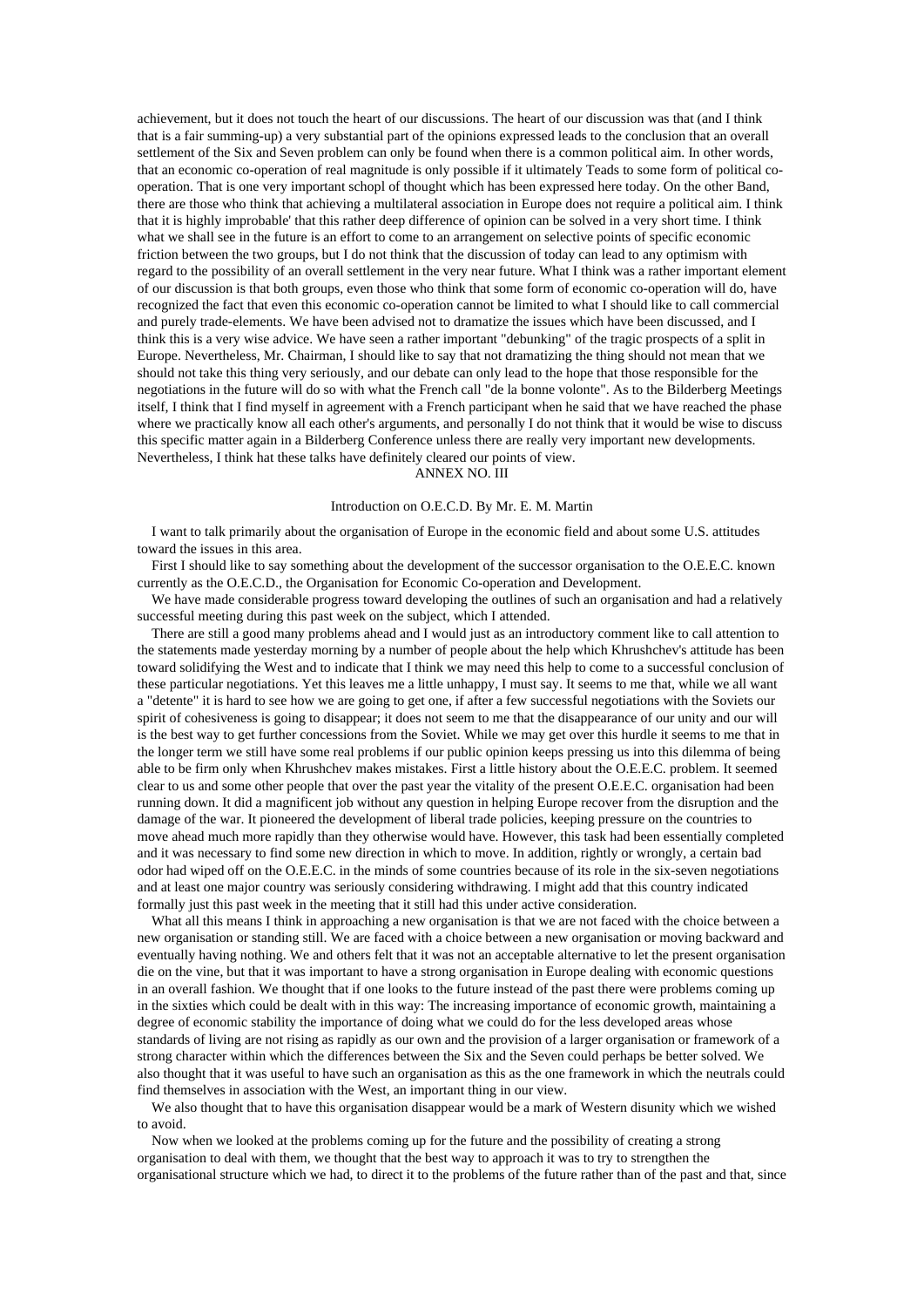achievement, but it does not touch the heart of our discussions. The heart of our discussion was that (and I think that is a fair summing-up) a very substantial part of the opinions expressed leads to the conclusion that an overall settlement of the Six and Seven problem can only be found when there is a common political aim. In other words, that an economic co-operation of real magnitude is only possible if it ultimately Teads to some form of political cooperation. That is one very important schopl of thought which has been expressed here today. On the other Band, there are those who think that achieving a multilateral association in Europe does not require a political aim. I think that it is highly improbable' that this rather deep difference of opinion can be solved in a very short time. I think what we shall see in the future is an effort to come to an arrangement on selective points of specific economic friction between the two groups, but I do not think that the discussion of today can lead to any optimism with regard to the possibility of an overall settlement in the very near future. What I think was a rather important element of our discussion is that both groups, even those who think that some form of economic co-operation will do, have recognized the fact that even this economic co-operation cannot be limited to what I should like to call commercial and purely trade-elements. We have been advised not to dramatize the issues which have been discussed, and I think this is a very wise advice. We have seen a rather important "debunking" of the tragic prospects of a split in Europe. Nevertheless, Mr. Chairman, I should like to say that not dramatizing the thing should not mean that we should not take this thing very seriously, and our debate can only lead to the hope that those responsible for the negotiations in the future will do so with what the French call "de la bonne volonte". As to the Bilderberg Meetings itself, I think that I find myself in agreement with a French participant when he said that we have reached the phase where we practically know all each other's arguments, and personally I do not think that it would be wise to discuss this specific matter again in a Bilderberg Conference unless there are really very important new developments. Nevertheless, I think hat these talks have definitely cleared our points of view.

ANNEX NO. III

#### Introduction on O.E.C.D. By Mr. E. M. Martin

I want to talk primarily about the organisation of Europe in the economic field and about some U.S. attitudes toward the issues in this area.

First I should like to say something about the development of the successor organisation to the O.E.E.C. known currently as the O.E.C.D., the Organisation for Economic Co-operation and Development.

We have made considerable progress toward developing the outlines of such an organisation and had a relatively successful meeting during this past week on the subject, which I attended.

There are still a good many problems ahead and I would just as an introductory comment like to call attention to the statements made yesterday morning by a number of people about the help which Khrushchev's attitude has been toward solidifying the West and to indicate that I think we may need this help to come to a successful conclusion of these particular negotiations. Yet this leaves me a little unhappy, I must say. It seems to me that, while we all want a "detente" it is hard to see how we are going to get one, if after a few successful negotiations with the Soviets our spirit of cohesiveness is going to disappear; it does not seem to me that the disappearance of our unity and our will is the best way to get further concessions from the Soviet. While we may get over this hurdle it seems to me that in the longer term we still have some real problems if our public opinion keeps pressing us into this dilemma of being able to be firm only when Khrushchev makes mistakes. First a little history about the O.E.E.C. problem. It seemed clear to us and some other people that over the past year the vitality of the present O.E.E.C. organisation had been running down. It did a magnificent job without any question in helping Europe recover from the disruption and the damage of the war. It pioneered the development of liberal trade policies, keeping pressure on the countries to move ahead much more rapidly than they otherwise would have. However, this task had been essentially completed and it was necessary to find some new direction in which to move. In addition, rightly or wrongly, a certain bad odor had wiped off on the O.E.E.C. in the minds of some countries because of its role in the six-seven negotiations and at least one major country was seriously considering withdrawing. I might add that this country indicated formally just this past week in the meeting that it still had this under active consideration.

What all this means I think in approaching a new organisation is that we are not faced with the choice between a new organisation or standing still. We are faced with a choice between a new organisation or moving backward and eventually having nothing. We and others felt that it was not an acceptable alternative to let the present organisation die on the vine, but that it was important to have a strong organisation in Europe dealing with economic questions in an overall fashion. We thought that if one looks to the future instead of the past there were problems coming up in the sixties which could be dealt with in this way: The increasing importance of economic growth, maintaining a degree of economic stability the importance of doing what we could do for the less developed areas whose standards of living are not rising as rapidly as our own and the provision of a larger organisation or framework of a strong character within which the differences between the Six and the Seven could perhaps be better solved. We also thought that it was useful to have such an organisation as this as the one framework in which the neutrals could find themselves in association with the West, an important thing in our view.

We also thought that to have this organisation disappear would be a mark of Western disunity which we wished to avoid.

Now when we looked at the problems coming up for the future and the possibility of creating a strong organisation to deal with them, we thought that the best way to approach it was to try to strengthen the organisational structure which we had, to direct it to the problems of the future rather than of the past and that, since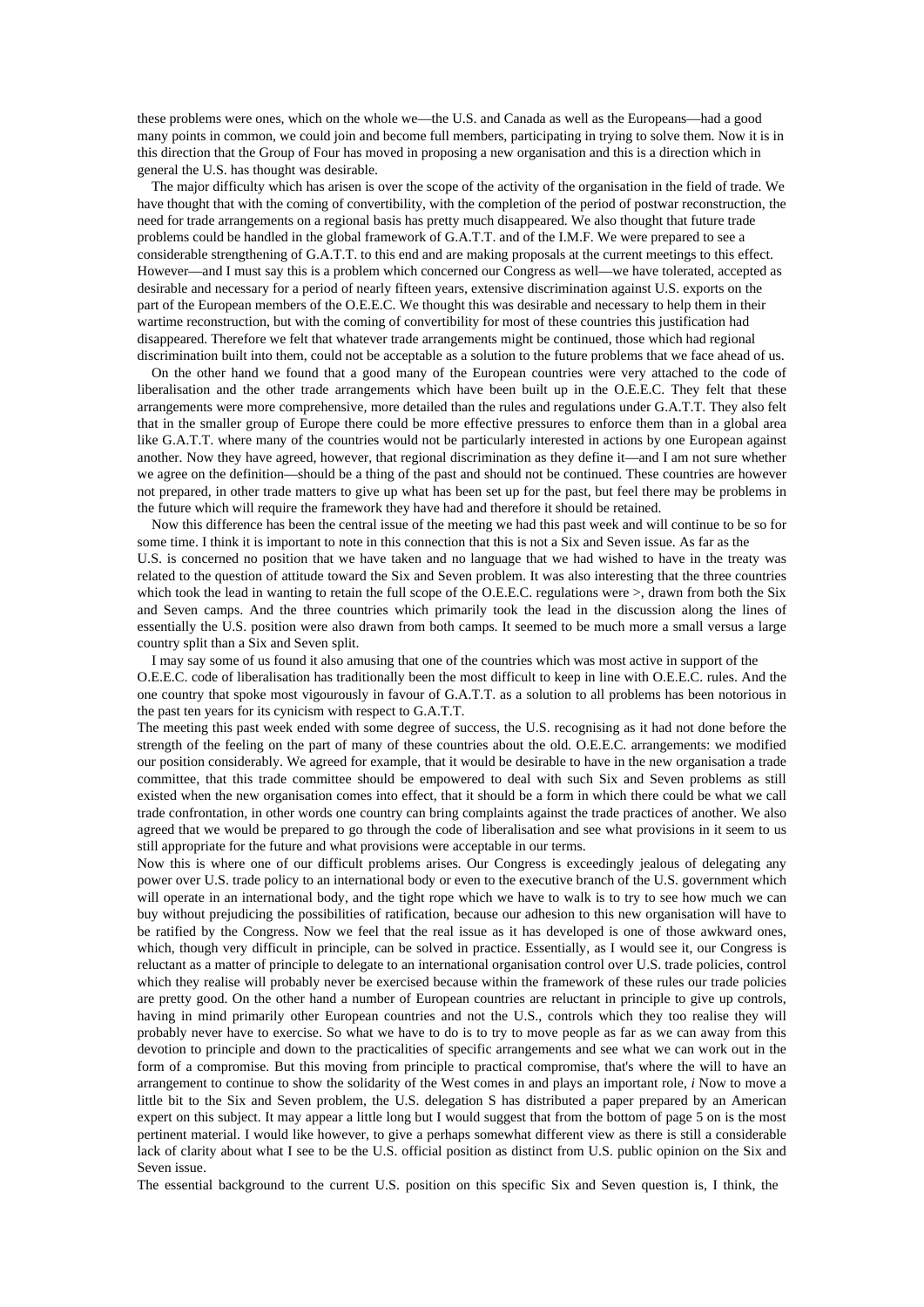these problems were ones, which on the whole we—the U.S. and Canada as well as the Europeans—had a good many points in common, we could join and become full members, participating in trying to solve them. Now it is in this direction that the Group of Four has moved in proposing a new organisation and this is a direction which in general the U.S. has thought was desirable.

The major difficulty which has arisen is over the scope of the activity of the organisation in the field of trade. We have thought that with the coming of convertibility, with the completion of the period of postwar reconstruction, the need for trade arrangements on a regional basis has pretty much disappeared. We also thought that future trade problems could be handled in the global framework of G.A.T.T. and of the I.M.F. We were prepared to see a considerable strengthening of G.A.T.T. to this end and are making proposals at the current meetings to this effect. However—and I must say this is a problem which concerned our Congress as well—we have tolerated, accepted as desirable and necessary for a period of nearly fifteen years, extensive discrimination against U.S. exports on the part of the European members of the O.E.E.C. We thought this was desirable and necessary to help them in their wartime reconstruction, but with the coming of convertibility for most of these countries this justification had disappeared. Therefore we felt that whatever trade arrangements might be continued, those which had regional discrimination built into them, could not be acceptable as a solution to the future problems that we face ahead of us.

On the other hand we found that a good many of the European countries were very attached to the code of liberalisation and the other trade arrangements which have been built up in the O.E.E.C. They felt that these arrangements were more comprehensive, more detailed than the rules and regulations under G.A.T.T. They also felt that in the smaller group of Europe there could be more effective pressures to enforce them than in a global area like G.A.T.T. where many of the countries would not be particularly interested in actions by one European against another. Now they have agreed, however, that regional discrimination as they define it—and I am not sure whether we agree on the definition—should be a thing of the past and should not be continued. These countries are however not prepared, in other trade matters to give up what has been set up for the past, but feel there may be problems in the future which will require the framework they have had and therefore it should be retained.

Now this difference has been the central issue of the meeting we had this past week and will continue to be so for some time. I think it is important to note in this connection that this is not a Six and Seven issue. As far as the U.S. is concerned no position that we have taken and no language that we had wished to have in the treaty was related to the question of attitude toward the Six and Seven problem. It was also interesting that the three countries which took the lead in wanting to retain the full scope of the O.E.E.C. regulations were  $>$ , drawn from both the Six and Seven camps. And the three countries which primarily took the lead in the discussion along the lines of essentially the U.S. position were also drawn from both camps. It seemed to be much more a small versus a large country split than a Six and Seven split.

I may say some of us found it also amusing that one of the countries which was most active in support of the O.E.E.C. code of liberalisation has traditionally been the most difficult to keep in line with O.E.E.C. rules. And the one country that spoke most vigourously in favour of G.A.T.T. as a solution to all problems has been notorious in the past ten years for its cynicism with respect to G.A.T.T.

The meeting this past week ended with some degree of success, the U.S. recognising as it had not done before the strength of the feeling on the part of many of these countries about the old. O.E.E.C. arrangements: we modified our position considerably. We agreed for example, that it would be desirable to have in the new organisation a trade committee, that this trade committee should be empowered to deal with such Six and Seven problems as still existed when the new organisation comes into effect, that it should be a form in which there could be what we call trade confrontation, in other words one country can bring complaints against the trade practices of another. We also agreed that we would be prepared to go through the code of liberalisation and see what provisions in it seem to us still appropriate for the future and what provisions were acceptable in our terms.

Now this is where one of our difficult problems arises. Our Congress is exceedingly jealous of delegating any power over U.S. trade policy to an international body or even to the executive branch of the U.S. government which will operate in an international body, and the tight rope which we have to walk is to try to see how much we can buy without prejudicing the possibilities of ratification, because our adhesion to this new organisation will have to be ratified by the Congress. Now we feel that the real issue as it has developed is one of those awkward ones, which, though very difficult in principle, can be solved in practice. Essentially, as I would see it, our Congress is reluctant as a matter of principle to delegate to an international organisation control over U.S. trade policies, control which they realise will probably never be exercised because within the framework of these rules our trade policies are pretty good. On the other hand a number of European countries are reluctant in principle to give up controls, having in mind primarily other European countries and not the U.S., controls which they too realise they will probably never have to exercise. So what we have to do is to try to move people as far as we can away from this devotion to principle and down to the practicalities of specific arrangements and see what we can work out in the form of a compromise. But this moving from principle to practical compromise, that's where the will to have an arrangement to continue to show the solidarity of the West comes in and plays an important role, *i* Now to move a little bit to the Six and Seven problem, the U.S. delegation S has distributed a paper prepared by an American expert on this subject. It may appear a little long but I would suggest that from the bottom of page 5 on is the most pertinent material. I would like however, to give a perhaps somewhat different view as there is still a considerable lack of clarity about what I see to be the U.S. official position as distinct from U.S. public opinion on the Six and Seven issue.

The essential background to the current U.S. position on this specific Six and Seven question is, I think, the